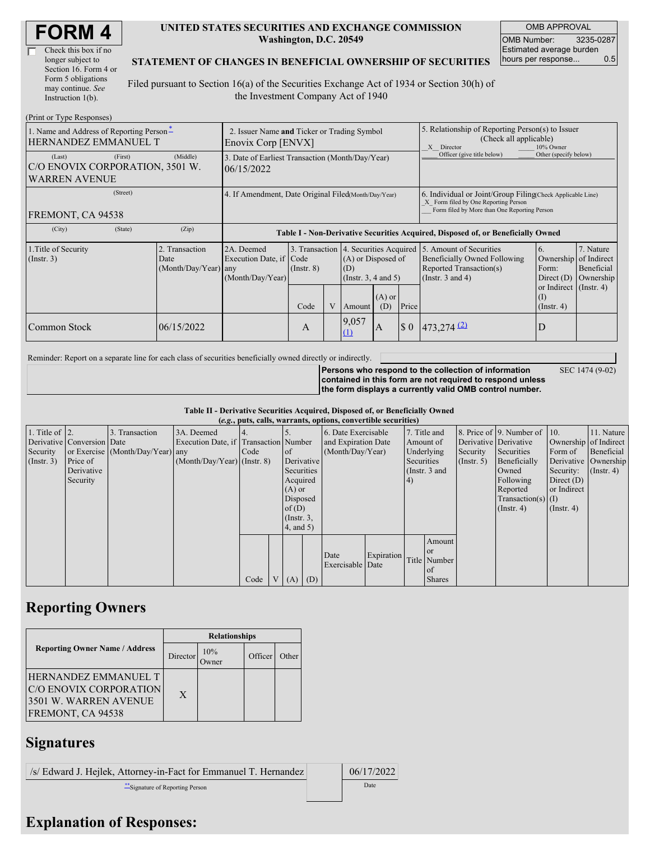| <b>FORM4</b> |
|--------------|
|--------------|

| Check this box if no  |
|-----------------------|
| longer subject to     |
| Section 16. Form 4 or |
| Form 5 obligations    |
| may continue. See     |
| Instruction $1(b)$ .  |

#### **UNITED STATES SECURITIES AND EXCHANGE COMMISSION Washington, D.C. 20549**

OMB APPROVAL OMB Number: 3235-0287 Estimated average burden hours per response... 0.5

#### **STATEMENT OF CHANGES IN BENEFICIAL OWNERSHIP OF SECURITIES**

Filed pursuant to Section 16(a) of the Securities Exchange Act of 1934 or Section 30(h) of the Investment Company Act of 1940

| (Print or Type Responses)                                                    |                                                                   |                                                                                  |                                   |  |                                                                                         |              |                                                                                                                                                    |                                                                                                             |                                                                           |                                                     |
|------------------------------------------------------------------------------|-------------------------------------------------------------------|----------------------------------------------------------------------------------|-----------------------------------|--|-----------------------------------------------------------------------------------------|--------------|----------------------------------------------------------------------------------------------------------------------------------------------------|-------------------------------------------------------------------------------------------------------------|---------------------------------------------------------------------------|-----------------------------------------------------|
| 1. Name and Address of Reporting Person-<br>HERNANDEZ EMMANUEL T             | 2. Issuer Name and Ticker or Trading Symbol<br>Enovix Corp [ENVX] |                                                                                  |                                   |  |                                                                                         |              | 5. Relationship of Reporting Person(s) to Issuer<br>(Check all applicable)<br>10% Owner<br>X Director                                              |                                                                                                             |                                                                           |                                                     |
| (First)<br>(Last)<br>C/O ENOVIX CORPORATION, 3501 W.<br><b>WARREN AVENUE</b> | (Middle)                                                          | 3. Date of Earliest Transaction (Month/Day/Year)<br>06/15/2022                   |                                   |  |                                                                                         |              | Officer (give title below)                                                                                                                         | Other (specify below)                                                                                       |                                                                           |                                                     |
| (Street)<br>FREMONT, CA 94538                                                | 4. If Amendment, Date Original Filed(Month/Day/Year)              |                                                                                  |                                   |  |                                                                                         |              | 6. Individual or Joint/Group Filing Check Applicable Line)<br>X Form filed by One Reporting Person<br>Form filed by More than One Reporting Person |                                                                                                             |                                                                           |                                                     |
| (City)<br>(State)                                                            | (Zip)                                                             | Table I - Non-Derivative Securities Acquired, Disposed of, or Beneficially Owned |                                   |  |                                                                                         |              |                                                                                                                                                    |                                                                                                             |                                                                           |                                                     |
| 1. Title of Security<br>$($ Instr. 3 $)$                                     | 2. Transaction<br>Date<br>$(Month/Day/Year)$ any                  | 2A. Deemed<br>Execution Date, if Code<br>(Month/Day/Year)                        | 3. Transaction<br>$($ Instr. $8)$ |  | 4. Securities Acquired<br>(A) or Disposed of<br>(D)<br>(Insert. 3, 4 and 5)<br>$(A)$ or |              |                                                                                                                                                    | 5. Amount of Securities<br>Beneficially Owned Following<br>Reported Transaction(s)<br>(Instr. $3$ and $4$ ) | 6.<br>Ownership<br>Form:<br>Direct $(D)$<br>or Indirect (Instr. 4)<br>(I) | 7. Nature<br>of Indirect<br>Beneficial<br>Ownership |
|                                                                              |                                                                   |                                                                                  | Code                              |  | Amount                                                                                  | (D)          | Price                                                                                                                                              |                                                                                                             | $($ Instr. 4 $)$                                                          |                                                     |
| Common Stock                                                                 | 06/15/2022                                                        |                                                                                  | A                                 |  | 9,057<br>(1)                                                                            | $\mathbf{A}$ | $\boldsymbol{\mathsf{S}}$ 0                                                                                                                        | $473,274$ <sup>(2)</sup>                                                                                    | D                                                                         |                                                     |

Reminder: Report on a separate line for each class of securities beneficially owned directly or indirectly.

**Persons who respond to the collection of information contained in this form are not required to respond unless the form displays a currently valid OMB control number.**

SEC 1474 (9-02)

**Table II - Derivative Securities Acquired, Disposed of, or Beneficially Owned**

|                        | (e.g., puts, calls, warrants, options, convertible securities) |                                  |                                       |      |                |               |                 |                          |               |           |               |              |                              |                       |            |
|------------------------|----------------------------------------------------------------|----------------------------------|---------------------------------------|------|----------------|---------------|-----------------|--------------------------|---------------|-----------|---------------|--------------|------------------------------|-----------------------|------------|
| 1. Title of $\vert$ 2. |                                                                | 3. Transaction                   | 3A. Deemed                            |      |                |               |                 | 6. Date Exercisable      |               |           | 7. Title and  |              | 8. Price of 9. Number of 10. |                       | 11. Nature |
|                        | Derivative Conversion Date                                     |                                  | Execution Date, if Transaction Number |      |                |               |                 | and Expiration Date      |               | Amount of |               |              | Derivative Derivative        | Ownership of Indirect |            |
| Security               |                                                                | or Exercise (Month/Day/Year) any |                                       | Code |                | <sub>of</sub> |                 | (Month/Day/Year)         |               |           | Underlying    | Security     | Securities                   | Form of               | Beneficial |
| $($ Instr. 3 $)$       | Price of                                                       |                                  | $(Month/Day/Year)$ (Instr. 8)         |      |                |               | Derivative      |                          | Securities    |           | (Insert, 5)   | Beneficially | Derivative Ownership         |                       |            |
|                        | Derivative                                                     |                                  |                                       |      |                | Securities    |                 |                          | (Instr. 3 and |           |               | Owned        | Security:                    | $($ Instr. 4)         |            |
|                        | Security                                                       |                                  |                                       |      |                | Acquired      |                 |                          |               | (4)       |               |              | Following                    | Direct $(D)$          |            |
|                        |                                                                |                                  |                                       |      |                | $(A)$ or      |                 |                          |               |           |               |              | Reported                     | or Indirect           |            |
|                        |                                                                |                                  |                                       |      |                | Disposed      |                 |                          |               |           |               |              | $Transaction(s)$ (I)         |                       |            |
|                        |                                                                |                                  |                                       |      |                | of $(D)$      |                 |                          |               |           |               |              | $($ Instr. 4 $)$             | $($ Instr. 4 $)$      |            |
|                        |                                                                |                                  |                                       |      |                |               | $($ Instr. $3,$ |                          |               |           |               |              |                              |                       |            |
|                        |                                                                |                                  |                                       |      |                | (4, and 5)    |                 |                          |               |           |               |              |                              |                       |            |
|                        |                                                                |                                  |                                       |      |                |               |                 |                          |               |           | Amount        |              |                              |                       |            |
|                        |                                                                |                                  |                                       |      |                |               |                 |                          | Expiration    |           | <sub>or</sub> |              |                              |                       |            |
|                        |                                                                |                                  |                                       |      |                |               |                 | Date<br>Exercisable Date |               |           | Title Number  |              |                              |                       |            |
|                        |                                                                |                                  |                                       |      |                |               |                 |                          |               |           | of            |              |                              |                       |            |
|                        |                                                                |                                  |                                       | Code | V <sub>1</sub> | $(A)$ $(D)$   |                 |                          |               |           | <b>Shares</b> |              |                              |                       |            |

## **Reporting Owners**

|                                                                                                     | <b>Relationships</b> |               |         |       |  |  |  |
|-----------------------------------------------------------------------------------------------------|----------------------|---------------|---------|-------|--|--|--|
| <b>Reporting Owner Name / Address</b>                                                               | Director             | 10%<br>Owner) | Officer | Other |  |  |  |
| <b>HERNANDEZ EMMANUEL T</b><br>C/O ENOVIX CORPORATION<br>3501 W. WARREN AVENUE<br>FREMONT, CA 94538 | $\mathbf{X}$         |               |         |       |  |  |  |

### **Signatures**

/s/ Edward J. Hejlek, Attorney-in-Fact for Emmanuel T. Hernandez 06/17/2022 \*\*Signature of Reporting Person Date

# **Explanation of Responses:**